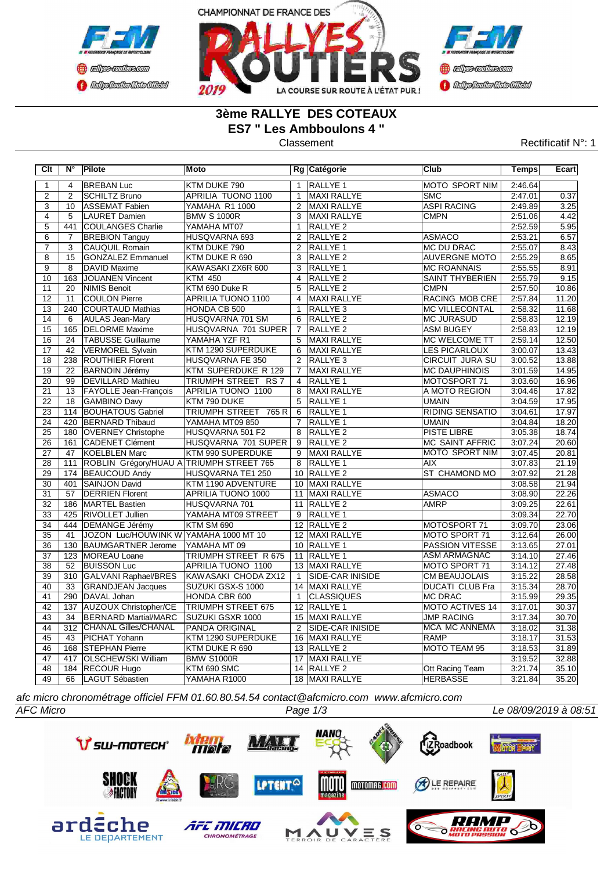



# **3ème RALLYE DES COTEAUX ES7 " Les Ambboulons 4 "**

**COCHOLOGICO CENTRAL MEDICATE** 

### Classement **Classement** Rectificatif N°: 1

| Clt             | $N^{\circ}$     | Pilote                                   | <b>Moto</b>               |                | Rg Catégorie            | <b>Club</b>            | <b>Temps</b> | Ecart |
|-----------------|-----------------|------------------------------------------|---------------------------|----------------|-------------------------|------------------------|--------------|-------|
| 1               | $\overline{4}$  | <b>BREBAN Luc</b>                        | KTM DUKE 790              | $\mathbf{1}$   | <b>RALLYE 1</b>         | <b>MOTO SPORT NIM</b>  | 2:46.64      |       |
| $\overline{2}$  | $\overline{2}$  | <b>SCHILTZ Bruno</b>                     | APRILIA TUONO 1100        | $\mathbf{1}$   | MAXI RALLYE             | <b>SMC</b>             | 2:47.01      | 0.37  |
| $\overline{3}$  | 10              | <b>ASSEMAT Fabien</b>                    | <b>YAMAHA R1 1000</b>     |                | 2 MAXI RALLYE           | <b>ASPI RACING</b>     | 2:49.89      | 3.25  |
| $\overline{4}$  | $\overline{5}$  | LAURET Damien                            | <b>BMW S 1000R</b>        | $\overline{3}$ | MAXI RALLYE             | <b>CMPN</b>            | 2:51.06      | 4.42  |
| $\overline{5}$  | 441             | COULANGES Charlie                        | YAMAHA MT07               | $\mathbf{1}$   | RALLYE <sub>2</sub>     |                        | 2:52.59      | 5.95  |
| $\overline{6}$  | $\overline{7}$  | <b>BREBION Tanguy</b>                    | HUSQVARNA 693             |                | 2 RALLYE 2              | <b>ASMACO</b>          | 2:53.21      | 6.57  |
| $\overline{7}$  | 3               | <b>CAUQUIL Romain</b>                    | KTM DUKE 790              | $\overline{2}$ | RALLYE <sub>1</sub>     | <b>MC DU DRAC</b>      | 2:55.07      | 8.43  |
| $\overline{8}$  | $\overline{15}$ | <b>GONZALEZ Emmanuel</b>                 | KTM DUKE R 690            |                | 3 RALLYE 2              | <b>AUVERGNE MOTO</b>   | 2:55.29      | 8.65  |
| $\overline{9}$  | 8               | DAVID Maxime                             | KAWASAKI ZX6R 600         | 3              | RALLYE <sub>1</sub>     | <b>MC ROANNAIS</b>     | 2:55.55      | 8.91  |
| 10              | 163             | JOUANEN Vincent                          | <b>KTM 450</b>            | $\overline{4}$ | RALLYE <sub>2</sub>     | <b>SAINT THYBERIEN</b> | 2:55.79      | 9.15  |
| 11              | $\overline{20}$ | <b>NIMIS Benoit</b>                      | KTM 690 Duke R            | $\overline{5}$ | RALLYE <sub>2</sub>     | <b>CMPN</b>            | 2:57.50      | 10.86 |
| $\overline{12}$ | 11              | <b>COULON Pierre</b>                     | APRILIA TUONO 1100        | $\overline{4}$ | <b>MAXI RALLYE</b>      | <b>RACING MOB CRE</b>  | 2:57.84      | 11.20 |
| $\overline{13}$ | 240             | <b>COURTAUD Mathias</b>                  | HONDA CB 500              | $\overline{1}$ | RALLYE <sub>3</sub>     | <b>MC VILLECONTAL</b>  | 2:58.32      | 11.68 |
| 14              | 6               | <b>AULAS Jean-Mary</b>                   | HUSQVARNA 701 SM          |                | 6 RALLYE 2              | <b>MC JURASUD</b>      | 2:58.83      | 12.19 |
| 15              | 165             | <b>DELORME</b> Maxime                    | HUSQVARNA 701 SUPER       |                | 7 RALLYE 2              | <b>ASM BUGEY</b>       | 2:58.83      | 12.19 |
| 16              | 24              | TABUSSE Guillaume                        | YAMAHA YZF R1             |                | 5 MAXI RALLYE           | MC WELCOME TT          | 2:59.14      | 12.50 |
| $\overline{17}$ | 42              | VERMOREL Sylvain                         | KTM 1290 SUPERDUKE        |                | 6 MAXI RALLYE           | <b>LES PICARLOUX</b>   | 3:00.07      | 13.43 |
| $\overline{18}$ | 238             | <b>ROUTHIER Florent</b>                  | <b>HUSQVARNA FE 350</b>   |                | 2 RALLYE 3              | <b>CIRCUIT JURA SU</b> | 3:00.52      | 13.88 |
| 19              | 22              | <b>BARNOIN Jérémy</b>                    | KTM SUPERDUKE R 129       | $\overline{7}$ | MAXI RALLYE             | <b>MC DAUPHINOIS</b>   | 3:01.59      | 14.95 |
| 20              | 99              | <b>DEVILLARD Mathieu</b>                 | TRIUMPH STREET RS 7       | $\overline{4}$ | RALLYE <sub>1</sub>     | MOTOSPORT 71           | 3:03.60      | 16.96 |
| $\overline{21}$ | 13              | <b>FAYOLLE Jean-François</b>             | <b>APRILIA TUONO 1100</b> | 8              | MAXI RALLYE             | A MOTO REGION          | 3:04.46      | 17.82 |
| $\overline{22}$ | 18              | GAMBINO Davy                             | KTM 790 DUKE              | $5^{\circ}$    | <b>RALLYE 1</b>         | <b>UMAIN</b>           | 3:04.59      | 17.95 |
| $\overline{23}$ | 114             | <b>BOUHATOUS Gabriel</b>                 | TRIUMPH STREET 765 R      | 6              | <b>RALLYE 1</b>         | <b>RIDING SENSATIO</b> | 3:04.61      | 17.97 |
| $\overline{24}$ | 420             | <b>BERNARD Thibaud</b>                   | YAMAHA MT09 850           | $\overline{7}$ | <b>RALLYE 1</b>         | UMAIN                  | 3:04.84      | 18.20 |
| $\overline{25}$ |                 | 180 OVERNEY Christophe                   | HUSQVARNA 501 F2          | 8              | <b>RALLYE 2</b>         | <b>PISTE LIBRE</b>     | 3:05.38      | 18.74 |
| 26              | 161             | <b>CADENET Clément</b>                   | HUSQVARNA 701 SUPER       | 9              | RALLYE <sub>2</sub>     | <b>MC SAINT AFFRIC</b> | 3:07.24      | 20.60 |
| 27              | 47              | KOELBLEN Marc                            | KTM 990 SUPERDUKE         | 9              | MAXI RALLYE             | <b>MOTO SPORT NIM</b>  | 3:07.45      | 20.81 |
| 28              | 111             | ROBLIN Grégory/HUAU A TRIUMPH STREET 765 |                           | 8              | RALLYE <sub>1</sub>     | AIX                    | 3:07.83      | 21.19 |
| 29              |                 | 174 BEAUCOUD Andy                        | HUSQVARNA TE1 250         |                | 10 RALLYE 2             | ST CHAMOND MO          | 3:07.92      | 21.28 |
| 30              | 401             | SAINJON David                            | KTM 1190 ADVENTURE        |                | 10 MAXI RALLYE          |                        | 3:08.58      | 21.94 |
| 31              | $\overline{57}$ | <b>DERRIEN Florent</b>                   | <b>APRILIA TUONO 1000</b> |                | 11 MAXI RALLYE          | <b>ASMACO</b>          | 3:08.90      | 22.26 |
| $\overline{32}$ |                 | 186 MARTEL Bastien                       | HUSQVARNA 701             |                | 11 RALLYE 2             | <b>AMRP</b>            | 3:09.25      | 22.61 |
| $\overline{33}$ | 425             | <b>RIVOLLET Jullien</b>                  | YAMAHA MT09 STREET        |                | 9 RALLYE 1              |                        | 3:09.34      | 22.70 |
| $\overline{34}$ | 444             | DEMANGE Jérémy                           | KTM SM 690                |                | 12 RALLYE 2             | MOTOSPORT 71           | 3:09.70      | 23.06 |
| 35              | 41              | JOZON Luc/HOUWINK W YAMAHA 1000 MT 10    |                           |                | 12 MAXI RALLYE          | MOTO SPORT 71          | 3:12.64      | 26.00 |
| 36              | 130             | BAUMGARTNER Jerome                       | YAMAHA MT 09              |                | 10 RALLYE 1             | PASSION VITESSE        | 3:13.65      | 27.01 |
| 37              | 123             | MOREAU Loane                             | TRIUMPH STREET R 675      |                | 11 RALLYE 1             | ASM ARMAGNAC           | 3:14.10      | 27.46 |
| $\overline{38}$ | $\overline{52}$ | <b>BUISSON Luc</b>                       | <b>APRILIA TUONO 1100</b> |                | 13 MAXI RALLYE          | MOTO SPORT 71          | 3:14.12      | 27.48 |
| 39              |                 | 310 GALVANI Raphael/BRES                 | KAWASAKI CHODA ZX12       | $\mathbf{1}$   | <b>SIDE-CAR INISIDE</b> | <b>CM BEAUJOLAIS</b>   | 3:15.22      | 28.58 |
| 40              | 33              | <b>GRANDJEAN Jacques</b>                 | SUZUKI GSX-S 1000         |                | 14 MAXI RALLYE          | <b>DUCATI CLUB Fra</b> | 3:15.34      | 28.70 |
| 41              |                 | 290 DAVAL Johan                          | HONDA CBR 600             | $\overline{1}$ | <b>CLASSIQUES</b>       | <b>MC DRAC</b>         | 3:15.99      | 29.35 |
| 42              | 137             | <b>AUZOUX Christopher/CE</b>             | <b>TRIUMPH STREET 675</b> |                | 12 RALLYE 1             | <b>MOTO ACTIVES 14</b> | 3:17.01      | 30.37 |
| 43              | 34              | <b>BERNARD Martial/MARC</b>              | SUZUKI GSXR 1000          |                | 15 MAXI RALLYE          | <b>JMP RACING</b>      | 3:17.34      | 30.70 |
| 44              |                 | 312 CHANAL Gilles/CHANAL                 | PANDA ORIGINAL            | 2              | <b>SIDE-CAR INISIDE</b> | MCA MC ANNEMA          | 3:18.02      | 31.38 |
| $\overline{45}$ | 43              | PICHAT Yohann                            | KTM 1290 SUPERDUKE        |                | 16 MAXI RALLYE          | <b>RAMP</b>            | 3:18.17      | 31.53 |
| 46              | 168             | <b>STEPHAN Pierre</b>                    | KTM DUKE R 690            |                | 13 RALLYE 2             | MOTO TEAM 95           | 3:18.53      | 31.89 |
| 47              | 417             | <b>OLSCHEWSKI William</b>                | <b>BMW S1000R</b>         |                | 17 MAXI RALLYE          |                        | 3:19.52      | 32.88 |
| 48              | 184             | <b>RECOUR Hugo</b>                       | KTM 690 SMC               |                | 14 RALLYE 2             | Ott Racing Team        | 3:21.74      | 35.10 |
| 49              | 66              | LAGUT Sébastien                          | YAMAHA R1000              |                | 18 MAXI RALLYE          | <b>HERBASSE</b>        | 3:21.84      | 35.20 |

*afc micro chronométrage officiel FFM 01.60.80.54.54 contact@afcmicro.com www.afcmicro.com*

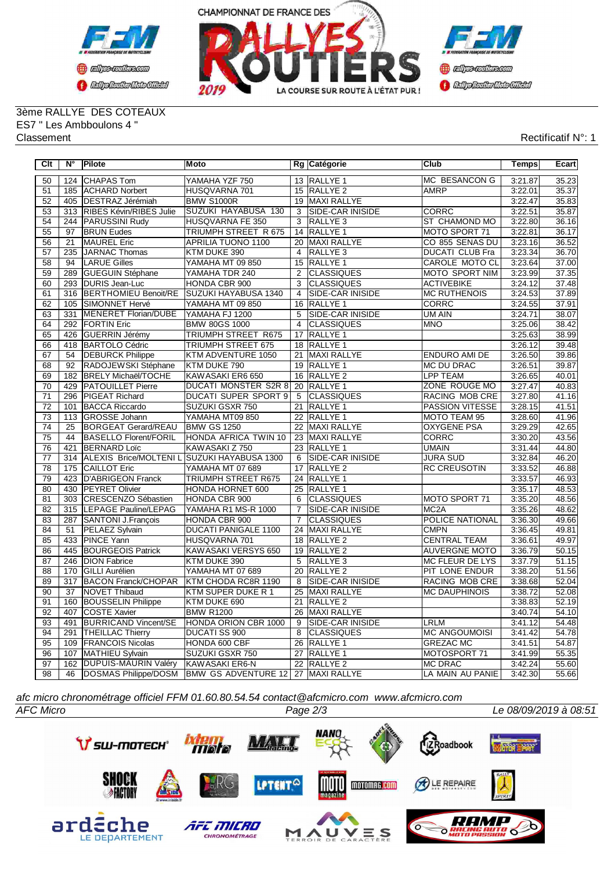



3ème RALLYE DES COTEAUX ES7 " Les Ambboulons 4 " Classement Rectificatif N°: 1

| Clt             | $N^{\circ}$     | Pilote                       | <b>Moto</b>                        |                 | Rg Catégorie            | Club                   | <b>Temps</b> | Ecart |
|-----------------|-----------------|------------------------------|------------------------------------|-----------------|-------------------------|------------------------|--------------|-------|
| 50              |                 | 124 CHAPAS Tom               | YAMAHA YZF 750                     |                 | 13 RALLYE 1             | MC BESANCON G          | 3:21.87      | 35.23 |
| 51              |                 | 185 ACHARD Norbert           | HUSQVARNA 701                      |                 | 15 RALLYE 2             | <b>AMRP</b>            | 3:22.01      | 35.37 |
| 52              |                 | 405 DESTRAZ Jérémiah         | <b>BMW S1000R</b>                  |                 | 19 MAXI RALLYE          |                        | 3:22.47      | 35.83 |
| 53              |                 | 313 RIBES Kévin/RIBES Julie  | SUZUKI HAYABUSA 130                | 3               | SIDE-CAR INISIDE        | <b>CORRC</b>           | 3:22.51      | 35.87 |
| 54              | 244             | <b>PARUSSINI Rudy</b>        | HUSQVARNA FE 350                   | $\overline{3}$  | <b>RALLYE 3</b>         | ST CHAMOND MO          | 3:22.80      | 36.16 |
| 55              | 97              | <b>BRUN Eudes</b>            | TRIUMPH STREET R 675               |                 | 14 RALLYE 1             | MOTO SPORT 71          | 3:22.81      | 36.17 |
| 56              | $\overline{21}$ | <b>MAUREL Eric</b>           | <b>APRILIA TUONO 1100</b>          | $\overline{20}$ | MAXI RALLYE             | CO 855 SENAS DU        | 3:23.16      | 36.52 |
| $\overline{57}$ | 235             | JARNAC Thomas                | KTM DUKE 390                       | $\overline{4}$  | RALLYE <sub>3</sub>     | <b>DUCATI CLUB Fra</b> | 3:23.34      | 36.70 |
| $\overline{58}$ | 94              | <b>LARUE Gilles</b>          | YAMAHA MT 09 850                   |                 | 15 RALLYE 1             | CAROLE MOTO CL         | 3:23.64      | 37.00 |
| 59              | 289             | GUEGUIN Stéphane             | YAMAHA TDR 240                     | 2               | <b>CLASSIQUES</b>       | <b>MOTO SPORT NIM</b>  | 3:23.99      | 37.35 |
| 60              |                 | 293 DURIS Jean-Luc           | HONDA CBR 900                      | $\overline{3}$  | CLASSIQUES              | <b>ACTIVEBIKE</b>      | 3:24.12      | 37.48 |
| 61              | 316             | BERTHOMIEU Benoit/RE         | SUZUKI HAYABUSA 1340               | 4               | SIDE-CAR INISIDE        | <b>MC RUTHENOIS</b>    | 3:24.53      | 37.89 |
| 62              | 105             | <b>SIMONNET Hervé</b>        | YAMAHA MT 09 850                   | $\overline{16}$ | <b>RALLYE 1</b>         | <b>CORRC</b>           | 3:24.55      | 37.91 |
| 63              | 331             | MENERET Florian/DUBE         | YAMAHA FJ 1200                     | 5               | SIDE-CAR INISIDE        | UM AIN                 | 3:24.71      | 38.07 |
| 64              |                 | 292   FORTIN Eric            | <b>BMW 80GS 1000</b>               | $\overline{4}$  | <b>CLASSIQUES</b>       | <b>MNO</b>             | 3:25.06      | 38.42 |
| 65              | 426             | <b>GUERRIN Jérémy</b>        | TRIUMPH STREET R675                | 17              | <b>RALLYE 1</b>         |                        | 3:25.63      | 38.99 |
| 66              |                 | 418 BARTOLO Cédric           | TRIUMPH STREET 675                 |                 | 18 RALLYE 1             |                        | 3:26.12      | 39.48 |
| 67              | 54              | <b>DEBURCK Philippe</b>      | KTM ADVENTURE 1050                 |                 | 21 MAXI RALLYE          | <b>ENDURO AMI DE</b>   | 3:26.50      | 39.86 |
| 68              | 92              | RADOJEWSKI Stéphane          | KTM DUKE 790                       |                 | 19 RALLYE 1             | <b>MC DU DRAC</b>      | 3:26.51      | 39.87 |
| 69              | 182             | <b>BRELY Michaël/TOCHE</b>   | KAWASAKI ER6 650                   | 16              | RALLYE <sub>2</sub>     | <b>LPP TEAM</b>        | 3:26.65      | 40.01 |
| 70              | 429             | <b>PATOUILLET</b> Pierre     | DUCATI MONSTER S2R 8               |                 | 20 RALLYE 1             | ZONE ROUGE MO          | 3:27.47      | 40.83 |
| 71              | 296             | <b>PIGEAT Richard</b>        | <b>DUCATI SUPER SPORT 9</b>        | 5               | <b>CLASSIQUES</b>       | RACING MOB CRE         | 3:27.80      | 41.16 |
| 72              | 101             | <b>BACCA Riccardo</b>        | SUZUKI GSXR 750                    |                 | 21 RALLYE 1             | PASSION VITESSE        | 3:28.15      | 41.51 |
| 73              | 113             | GROSSE Johann                | YAMAHA MT09 850                    | 22              | RALLYE <sub>1</sub>     | MOTO TEAM 95           | 3:28.60      | 41.96 |
| $\overline{74}$ | 25              | <b>BORGEAT Gerard/REAU</b>   | <b>BMW GS 1250</b>                 |                 | 22 MAXI RALLYE          | <b>OXYGENE PSA</b>     | 3:29.29      | 42.65 |
| 75              | 44              | <b>BASELLO Florent/FORIL</b> | HONDA AFRICA TWIN 10               |                 | 23 MAXI RALLYE          | CORRC                  | 3:30.20      | 43.56 |
| 76              | 421             | <b>BERNARD Loïc</b>          | KAWASAKI Z 750                     |                 | 23 RALLYE 1             | <b>UMAIN</b>           | 3:31.44      | 44.80 |
| $\overline{77}$ |                 | 314 ALEXIS Brice/MOLTENIL    | <b>SUZUKI HAYABUSA 1300</b>        | 6               | <b>SIDE-CAR INISIDE</b> | <b>JURA SUD</b>        | 3:32.84      | 46.20 |
| $\overline{78}$ | 175             | <b>CAILLOT Eric</b>          | YAMAHA MT 07 689                   | 17              | RALLYE <sub>2</sub>     | <b>RC CREUSOTIN</b>    | 3:33.52      | 46.88 |
| 79              | 423             | D'ABRIGEON Franck            | TRIUMPH STREET R675                |                 | 24 RALLYE 1             |                        | 3:33.57      | 46.93 |
| 80              | 430             | <b>PEYRET Olivier</b>        | HONDA HORNET 600                   |                 | 25 RALLYE 1             |                        | 3:35.17      | 48.53 |
| 81              |                 | 303 CRESCENZO Sébastien      | HONDA CBR 900                      | 6               | <b>CLASSIQUES</b>       | MOTO SPORT 71          | 3:35.20      | 48.56 |
| 82              |                 | 315  LEPAGE Pauline/LEPAG    | YAMAHA R1 MS-R 1000                | $\overline{7}$  | <b>SIDE-CAR INISIDE</b> | MC <sub>2</sub> A      | 3:35.26      | 48.62 |
| 83              |                 | 287 SANTONI J.François       | HONDA CBR 900                      | $\overline{7}$  | <b>CLASSIQUES</b>       | POLICE NATIONAL        | 3:36.30      | 49.66 |
| 84              | 51              | PELAEZ Sylvain               | <b>DUCATI PANIGALE 1100</b>        |                 | 24 MAXI RALLYE          | <b>CMPN</b>            | 3:36.45      | 49.81 |
| 85              | 433             | <b>PINCE Yann</b>            | HUSQVARNA 701                      |                 | 18 RALLYE 2             | <b>CENTRAL TEAM</b>    | 3:36.61      | 49.97 |
| 86              | 445             | <b>BOURGEOIS Patrick</b>     | KAWASAKI VERSYS 650                |                 | 19 RALLYE 2             | <b>AUVERGNE MOTO</b>   | 3:36.79      | 50.15 |
| 87              | 246             | <b>DION Fabrice</b>          | KTM DUKE 390                       | 5               | RALLYE <sub>3</sub>     | <b>MC FLEUR DE LYS</b> | 3:37.79      | 51.15 |
| 88              | 170             | <b>GILLI</b> Aurélien        | YAMAHA MT 07 689                   |                 | 20 RALLYE 2             | PIT LONE ENDUR         | 3:38.20      | 51.56 |
| 89              | 317             | <b>BACON Franck/CHOPAR</b>   | KTM CHODA RC8R 1190                | 8               | SIDE-CAR INISIDE        | <b>RACING MOB CRE</b>  | 3:38.68      | 52.04 |
| 90              | $\overline{37}$ | NOVET Thibaud                | KTM SUPER DUKE R 1                 | 25              | MAXI RALLYE             | <b>MC DAUPHINOIS</b>   | 3:38.72      | 52.08 |
| 91              |                 | 160 BOUSSELIN Philippe       | KTM DUKE 690                       |                 | 21 RALLYE 2             |                        | 3:38.83      | 52.19 |
| 92              | 407             | <b>COSTE Xavier</b>          | <b>BMW R1200</b>                   |                 | 26 MAXI RALLYE          |                        | 3:40.74      | 54.10 |
| 93              | 491             | <b>BURRICAND Vincent/SE</b>  | HONDA ORION CBR 1000               | 9               | <b>SIDE-CAR INISIDE</b> | <b>LRLM</b>            | 3:41.12      | 54.48 |
| 94              | 291             | <b>THEILLAC Thierry</b>      | <b>DUCATI SS 900</b>               | $\overline{8}$  | <b>CLASSIQUES</b>       | <b>MC ANGOUMOISI</b>   | 3:41.42      | 54.78 |
| 95              | 109             | <b>FRANCOIS Nicolas</b>      | HONDA 600 CBF                      | 26              | RALLYE <sub>1</sub>     | <b>GREZAC MC</b>       | 3:41.51      | 54.87 |
| 96              | 107             | MATHIEU Sylvain              | SUZUKI GSXR 750                    |                 | 27 RALLYE 1             | MOTOSPORT 71           | 3:41.99      | 55.35 |
| 97              | 162             | DUPUIS-MAURIN Valéry         | KAWASAKI ER6-N                     |                 | 22 RALLYE 2             | <b>MC DRAC</b>         | 3:42.24      | 55.60 |
| $\overline{98}$ | $\overline{46}$ | DOSMAS Philippe/DOSM         | BMW GS ADVENTURE 12 27 MAXI RALLYE |                 |                         | LA MAIN AU PANIE       | 3:42.30      | 55.66 |

*afc micro chronométrage officiel FFM 01.60.80.54.54 contact@afcmicro.com www.afcmicro.com*